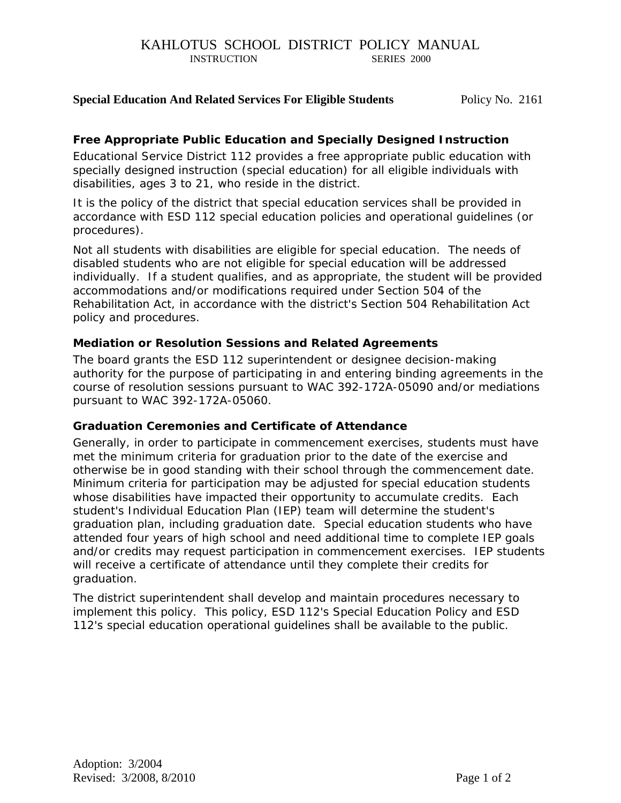## **Special Education And Related Services For Eligible Students** Policy No. 2161

## *Free Appropriate Public Education and Specially Designed Instruction*

Educational Service District 112 provides a free appropriate public education with specially designed instruction (special education) for all eligible individuals with disabilities, ages 3 to 21, who reside in the district.

It is the policy of the district that special education services shall be provided in accordance with ESD 112 special education policies and operational guidelines (or procedures).

Not all students with disabilities are eligible for special education. The needs of disabled students who are not eligible for special education will be addressed individually. If a student qualifies, and as appropriate, the student will be provided accommodations and/or modifications required under Section 504 of the Rehabilitation Act, in accordance with the district's Section 504 Rehabilitation Act policy and procedures.

### *Mediation or Resolution Sessions and Related Agreements*

The board grants the ESD 112 superintendent or designee decision-making authority for the purpose of participating in and entering binding agreements in the course of resolution sessions pursuant to WAC 392-172A-05090 and/or mediations pursuant to WAC 392-172A-05060.

#### *Graduation Ceremonies and Certificate of Attendance*

Generally, in order to participate in commencement exercises, students must have met the minimum criteria for graduation prior to the date of the exercise and otherwise be in good standing with their school through the commencement date. Minimum criteria for participation may be adjusted for special education students whose disabilities have impacted their opportunity to accumulate credits. Each student's Individual Education Plan (IEP) team will determine the student's graduation plan, including graduation date. Special education students who have attended four years of high school and need additional time to complete IEP goals and/or credits may request participation in commencement exercises. IEP students will receive a certificate of attendance until they complete their credits for graduation.

The district superintendent shall develop and maintain procedures necessary to implement this policy. This policy, ESD 112's Special Education Policy and ESD 112's special education operational guidelines shall be available to the public.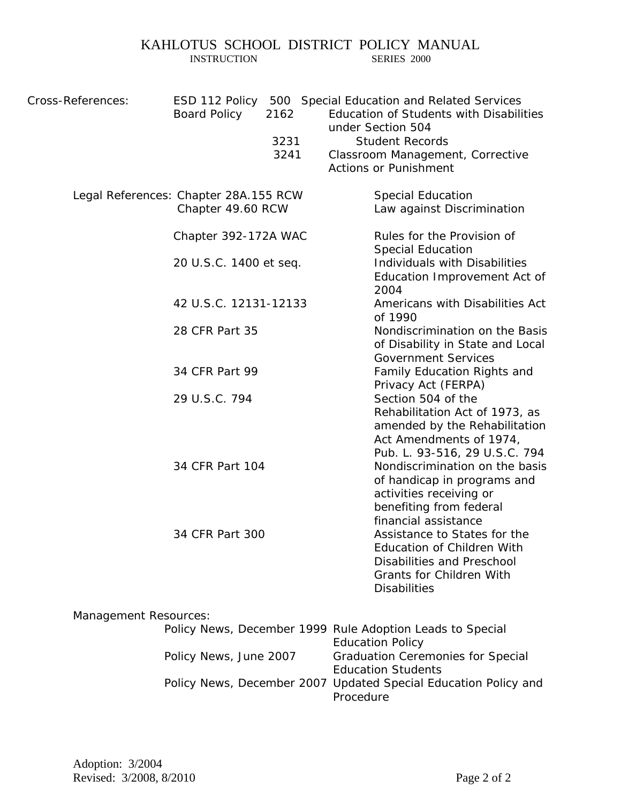# KAHLOTUS SCHOOL DISTRICT POLICY MANUAL INSTRUCTION SERIES 2000

**INSTRUCTION** 

| Cross-References: | ESD 112 Policy<br><b>Board Policy</b>                      | 2162<br>3231<br>3241 |  | 500 Special Education and Related Services<br>Education of Students with Disabilities<br>under Section 504<br><b>Student Records</b><br>Classroom Management, Corrective<br><b>Actions or Punishment</b>                                 |
|-------------------|------------------------------------------------------------|----------------------|--|------------------------------------------------------------------------------------------------------------------------------------------------------------------------------------------------------------------------------------------|
|                   | Legal References: Chapter 28A.155 RCW<br>Chapter 49.60 RCW |                      |  | <b>Special Education</b><br>Law against Discrimination                                                                                                                                                                                   |
|                   | Chapter 392-172A WAC<br>20 U.S.C. 1400 et seq.             |                      |  | Rules for the Provision of<br><b>Special Education</b><br>Individuals with Disabilities<br>Education Improvement Act of                                                                                                                  |
|                   | 42 U.S.C. 12131-12133                                      |                      |  | 2004<br>Americans with Disabilities Act<br>of 1990                                                                                                                                                                                       |
|                   | 28 CFR Part 35                                             |                      |  | Nondiscrimination on the Basis<br>of Disability in State and Local<br><b>Government Services</b>                                                                                                                                         |
|                   | 34 CFR Part 99<br>29 U.S.C. 794                            |                      |  | Family Education Rights and<br>Privacy Act (FERPA)<br>Section 504 of the<br>Rehabilitation Act of 1973, as                                                                                                                               |
|                   | 34 CFR Part 104                                            |                      |  | amended by the Rehabilitation<br>Act Amendments of 1974,<br>Pub. L. 93-516, 29 U.S.C. 794<br>Nondiscrimination on the basis<br>of handicap in programs and<br>activities receiving or<br>benefiting from federal<br>financial assistance |
|                   | 34 CFR Part 300                                            |                      |  | Assistance to States for the<br><b>Education of Children With</b><br>Disabilities and Preschool<br><b>Grants for Children With</b><br><b>Disabilities</b>                                                                                |

# Management Resources:

|                        | <i>Policy News, December 1999 Rule Adoption Leads to Special</i> |
|------------------------|------------------------------------------------------------------|
|                        | <b>Education Policy</b>                                          |
| Policy News, June 2007 | <b>Graduation Ceremonies for Special</b>                         |
|                        | <b>Education Students</b>                                        |
|                        | Policy News, December 2007 Updated Special Education Policy and  |
|                        | Procedure                                                        |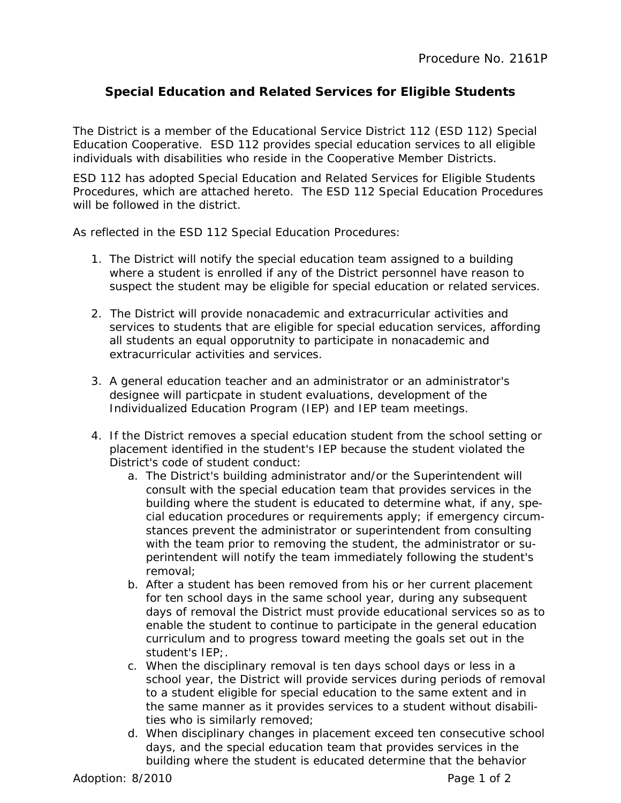# **Special Education and Related Services for Eligible Students**

The District is a member of the Educational Service District 112 (ESD 112) Special Education Cooperative. ESD 112 provides special education services to all eligible individuals with disabilities who reside in the Cooperative Member Districts.

ESD 112 has adopted Special Education and Related Services for Eligible Students Procedures, which are attached hereto. The ESD 112 Special Education Procedures will be followed in the district.

As reflected in the ESD 112 Special Education Procedures:

- 1. The District will notify the special education team assigned to a building where a student is enrolled if any of the District personnel have reason to suspect the student may be eligible for special education or related services.
- 2. The District will provide nonacademic and extracurricular activities and services to students that are eligible for special education services, affording all students an equal opporutnity to participate in nonacademic and extracurricular activities and services.
- 3. A general education teacher and an administrator or an administrator's designee will particpate in student evaluations, development of the Individualized Education Program (IEP) and IEP team meetings.
- 4. If the District removes a special education student from the school setting or placement identified in the student's IEP because the student violated the District's code of student conduct:
	- a. The District's building administrator and/or the Superintendent will consult with the special education team that provides services in the building where the student is educated to determine what, if any, special education procedures or requirements apply; if emergency circumstances prevent the administrator or superintendent from consulting with the team prior to removing the student, the administrator or superintendent will notify the team immediately following the student's removal;
	- b. After a student has been removed from his or her current placement for ten school days in the same school year, during any subsequent days of removal the District must provide educational services so as to enable the student to continue to participate in the general education curriculum and to progress toward meeting the goals set out in the student's IEP;.
	- c. When the disciplinary removal is ten days school days or less in a school year, the District will provide services during periods of removal to a student eligible for special education to the same extent and in the same manner as it provides services to a student without disabilities who is similarly removed;
	- d. When disciplinary changes in placement exceed ten consecutive school days, and the special education team that provides services in the building where the student is educated determine that the behavior